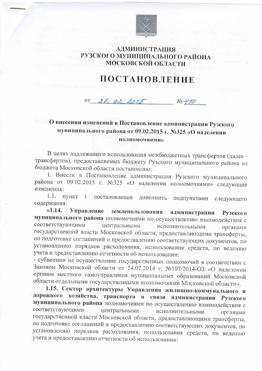

### АДМИНИСТРАЦИЯ РУЗСКОГО МУНИЦИПАЛЬНОГО РАЙОНА **МОСКОВСКОЙ ОБЛАСТИ**

# ПОСТАНОВЛЕНИЕ

OT  $27, 02, 2015$  $N_2$  477

## О внесении изменений в Постановление администрации Рузского муниципального района от 09.02.2015 г. №325 «О наделении **ПОЛНОМОЧИЯМИ»**

В целях надлежащего использования межбюджетных трансфертов (далее трансфертов), предоставляемых бюджету Рузского муниципального района из бюджета Московской области постановляю:

1. Внести в Постановление администрации Рузского муниципального района от 09.02.2015 г. №325 «О наделении полномочиями» следующие изменения:

1.1. ПУНКТ постановления дополнить  $\mathbf{1}$ подпунктами следующего содержания:

Управление землепользования администрации  $\kappa$ 1.14. Рузского муниципального района полномочиями по осуществлению взаимодействия с соответствующими центральными исполнительными органами государственной власти Московской области, предоставляющими трансферты, по подготовке соглашений и предоставлению соответствующих документов, по установлению порядков расходования, использования средств, по ведению учета и предоставлению отчетности об использовании:

- субвенции на осуществление государственных полномочий в соответствии с Законом Московской области от 24.07.2014 г. №107/2014-ОЗ «О наделении органов местного самоуправления муниципальных образований Московской области отдельными государственными полномочиями Московской области».

1.15. Сектор архитектуры Управления жилищно-коммунального и дорожного хозяйства, транспорта и связи администрации Рузского муниципального района полномочиями по осуществлению взаимодействия с соответствующими центральными исполнительными органами государственной власти Московской области, предоставляющими трансферты, по подготовке соглашений и предоставлению соответствующих документов, по установлению порядков расходования, использования средств, по ведению учета и предоставлению отчетности об использовании: